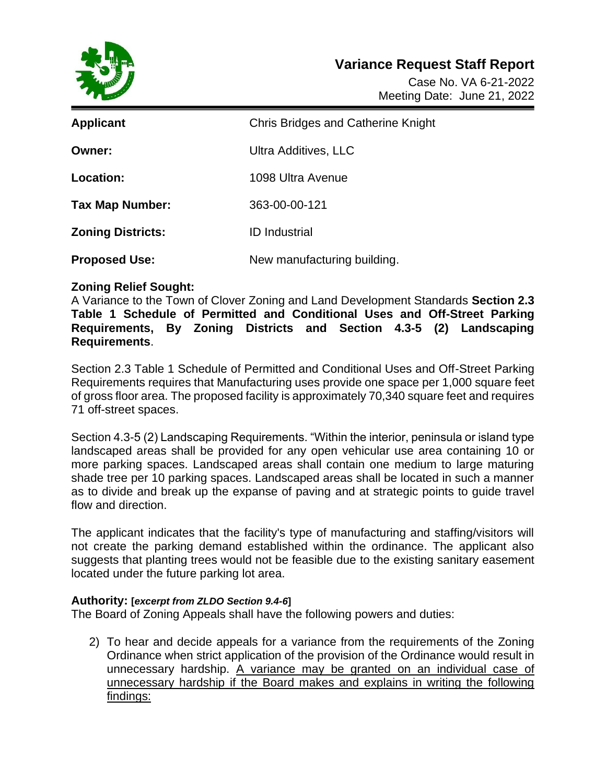

Case No. VA 6-21-2022 Meeting Date: June 21, 2022

| <b>Applicant</b>         | <b>Chris Bridges and Catherine Knight</b> |
|--------------------------|-------------------------------------------|
| <b>Owner:</b>            | Ultra Additives, LLC                      |
| Location:                | 1098 Ultra Avenue                         |
| <b>Tax Map Number:</b>   | 363-00-00-121                             |
| <b>Zoning Districts:</b> | <b>ID</b> Industrial                      |
| <b>Proposed Use:</b>     | New manufacturing building.               |

## **Zoning Relief Sought:**

A Variance to the Town of Clover Zoning and Land Development Standards **Section 2.3 Table 1 Schedule of Permitted and Conditional Uses and Off-Street Parking Requirements, By Zoning Districts and Section 4.3-5 (2) Landscaping Requirements**.

Section 2.3 Table 1 Schedule of Permitted and Conditional Uses and Off-Street Parking Requirements requires that Manufacturing uses provide one space per 1,000 square feet of gross floor area. The proposed facility is approximately 70,340 square feet and requires 71 off-street spaces.

Section 4.3-5 (2) Landscaping Requirements. "Within the interior, peninsula or island type landscaped areas shall be provided for any open vehicular use area containing 10 or more parking spaces. Landscaped areas shall contain one medium to large maturing shade tree per 10 parking spaces. Landscaped areas shall be located in such a manner as to divide and break up the expanse of paving and at strategic points to guide travel flow and direction.

The applicant indicates that the facility's type of manufacturing and staffing/visitors will not create the parking demand established within the ordinance. The applicant also suggests that planting trees would not be feasible due to the existing sanitary easement located under the future parking lot area.

## **Authority: [***excerpt from ZLDO Section 9.4-6***]**

The Board of Zoning Appeals shall have the following powers and duties:

2) To hear and decide appeals for a variance from the requirements of the Zoning Ordinance when strict application of the provision of the Ordinance would result in unnecessary hardship. A variance may be granted on an individual case of unnecessary hardship if the Board makes and explains in writing the following findings: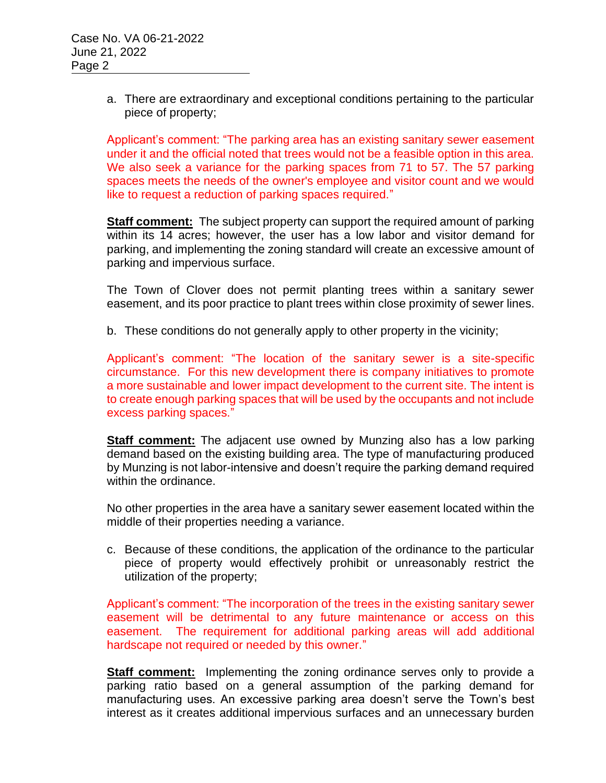a. There are extraordinary and exceptional conditions pertaining to the particular piece of property;

Applicant's comment: "The parking area has an existing sanitary sewer easement under it and the official noted that trees would not be a feasible option in this area. We also seek a variance for the parking spaces from 71 to 57. The 57 parking spaces meets the needs of the owner's employee and visitor count and we would like to request a reduction of parking spaces required."

**Staff comment:** The subject property can support the required amount of parking within its 14 acres; however, the user has a low labor and visitor demand for parking, and implementing the zoning standard will create an excessive amount of parking and impervious surface.

The Town of Clover does not permit planting trees within a sanitary sewer easement, and its poor practice to plant trees within close proximity of sewer lines.

b. These conditions do not generally apply to other property in the vicinity;

Applicant's comment: "The location of the sanitary sewer is a site-specific circumstance. For this new development there is company initiatives to promote a more sustainable and lower impact development to the current site. The intent is to create enough parking spaces that will be used by the occupants and not include excess parking spaces."

**Staff comment:** The adjacent use owned by Munzing also has a low parking demand based on the existing building area. The type of manufacturing produced by Munzing is not labor-intensive and doesn't require the parking demand required within the ordinance.

No other properties in the area have a sanitary sewer easement located within the middle of their properties needing a variance.

c. Because of these conditions, the application of the ordinance to the particular piece of property would effectively prohibit or unreasonably restrict the utilization of the property;

Applicant's comment: "The incorporation of the trees in the existing sanitary sewer easement will be detrimental to any future maintenance or access on this easement. The requirement for additional parking areas will add additional hardscape not required or needed by this owner."

**Staff comment:** Implementing the zoning ordinance serves only to provide a parking ratio based on a general assumption of the parking demand for manufacturing uses. An excessive parking area doesn't serve the Town's best interest as it creates additional impervious surfaces and an unnecessary burden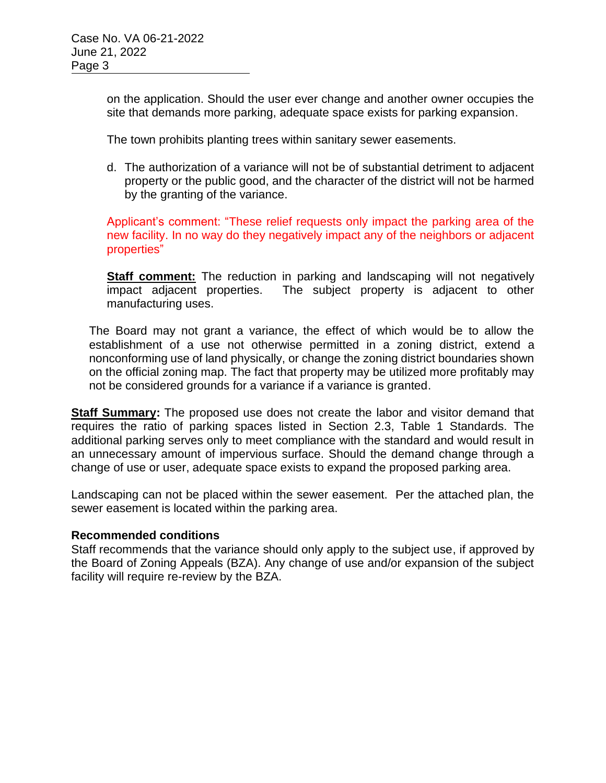on the application. Should the user ever change and another owner occupies the site that demands more parking, adequate space exists for parking expansion.

The town prohibits planting trees within sanitary sewer easements.

d. The authorization of a variance will not be of substantial detriment to adjacent property or the public good, and the character of the district will not be harmed by the granting of the variance.

Applicant's comment: "These relief requests only impact the parking area of the new facility. In no way do they negatively impact any of the neighbors or adjacent properties"

**Staff comment:** The reduction in parking and landscaping will not negatively impact adjacent properties. The subject property is adjacent to other manufacturing uses.

The Board may not grant a variance, the effect of which would be to allow the establishment of a use not otherwise permitted in a zoning district, extend a nonconforming use of land physically, or change the zoning district boundaries shown on the official zoning map. The fact that property may be utilized more profitably may not be considered grounds for a variance if a variance is granted.

**Staff Summary:** The proposed use does not create the labor and visitor demand that requires the ratio of parking spaces listed in Section 2.3, Table 1 Standards. The additional parking serves only to meet compliance with the standard and would result in an unnecessary amount of impervious surface. Should the demand change through a change of use or user, adequate space exists to expand the proposed parking area.

Landscaping can not be placed within the sewer easement. Per the attached plan, the sewer easement is located within the parking area.

## **Recommended conditions**

Staff recommends that the variance should only apply to the subject use, if approved by the Board of Zoning Appeals (BZA). Any change of use and/or expansion of the subject facility will require re-review by the BZA.